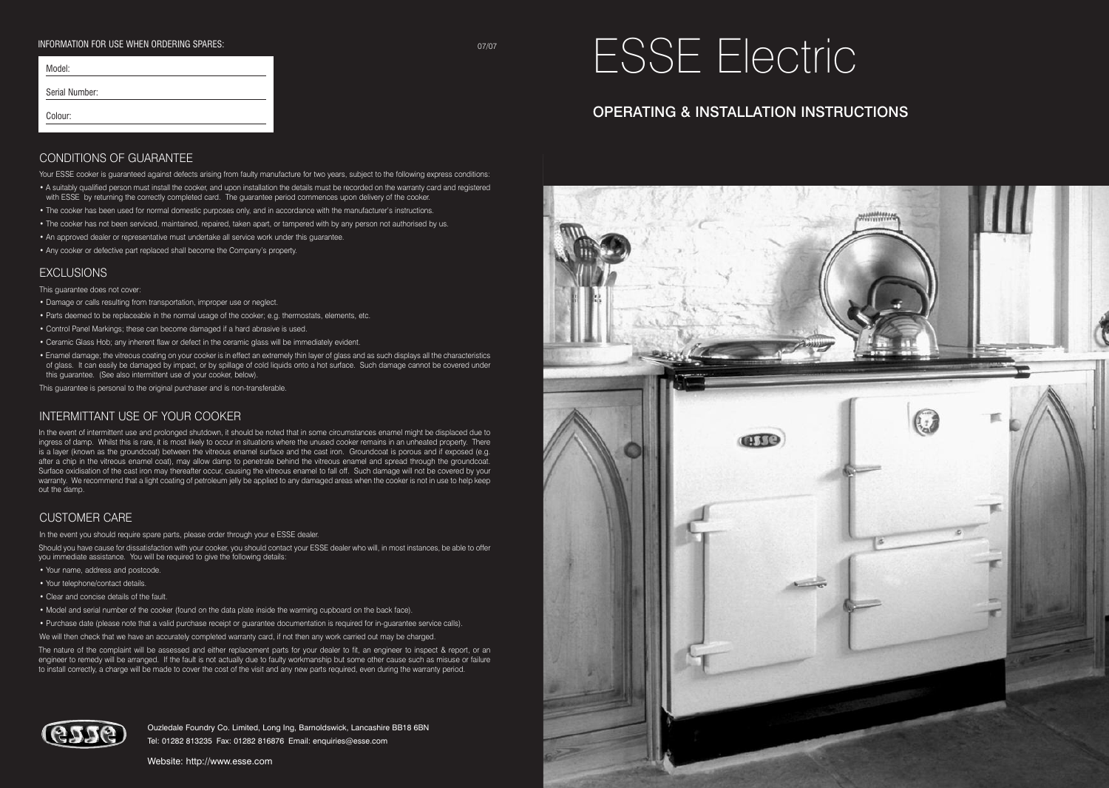#### INFORMATION FOR USE WHEN ORDERING SPARES: 07/07

| Model:         |  |  |
|----------------|--|--|
| Serial Number: |  |  |
| Colour:        |  |  |
|                |  |  |

# ESSE Electric

# OPERATING & INSTALLATION INSTRUCTIONS

#### CONDITIONS OF GUARANTEE

Your ESSE cooker is quaranteed against defects arising from faulty manufacture for two years, subject to the following express conditions:

- A suitably qualified person must install the cooker, and upon installation the details must be recorded on the warranty card and registered
- with ESSE by returning the correctly completed card. The guarantee period commences upon delivery of the cooker.
- The cooker has been used for normal domestic purposes only, and in accordance with the manufacturer's instructions.
- The cooker has not been serviced, maintained, repaired, taken apart, or tampered with by any person not authorised by us. • An approved dealer or representative must undertake all service work under this guarantee.
- Any cooker or defective part replaced shall become the Company's property.

## **EXCLUSIONS**

This guarantee does not cover:

- Damage or calls resulting from transportation, improper use or neglect.
- Parts deemed to be replaceable in the normal usage of the cooker; e.g. thermostats, elements, etc.
- Control Panel Markings; these can become damaged if a hard abrasive is used.
- Ceramic Glass Hob; any inherent flaw or defect in the ceramic glass will be immediately evident.
- Enamel damage; the vitreous coating on your cooker is in effect an extremely thin layer of glass and as such displays all the characteristics of glass. It can easily be damaged by impact, or by spillage of cold liquids onto a hot surface. Such damage cannot be covered under this guarantee. (See also intermittent use of your cooker, below).

This guarantee is personal to the original purchaser and is non-transferable.

#### INTERMITTANT USE OF YOUR COOKER

In the event of intermittent use and prolonged shutdown, it should be noted that in some circumstances enamel might be displaced due to ingress of damp. Whilst this is rare, it is most likely to occur in situations where the unused cooker remains in an unheated property. There is a layer (known as the groundcoat) between the vitreous enamel surface and the cast iron. Groundcoat is porous and if exposed (e.g. after a chip in the vitreous enamel coat), may allow damp to penetrate behind the vitreous enamel and spread through the groundcoat. Surface oxidisation of the cast iron may thereafter occur, causing the vitreous enamel to fall off. Such damage will not be covered by your warranty. We recommend that a light coating of petroleum jelly be applied to any damaged areas when the cooker is not in use to help keep out the damp.

#### CUSTOMER CARE

In the event you should require spare parts, please order through your e ESSE dealer.

Should you have cause for dissatisfaction with your cooker, you should contact your ESSE dealer who will, in most instances, be able to offer you immediate assistance. You will be required to give the following details:

- Your name, address and postcode.
- Your telephone/contact details.
- Clear and concise details of the fault.
- Model and serial number of the cooker (found on the data plate inside the warming cupboard on the back face).

• Purchase date (please note that a valid purchase receipt or guarantee documentation is required for in-guarantee service calls).

We will then check that we have an accurately completed warranty card, if not then any work carried out may be charged.

The nature of the complaint will be assessed and either replacement parts for your dealer to fit, an engineer to inspect & report, or an engineer to remedy will be arranged. If the fault is not actually due to faulty workmanship but some other cause such as misuse or failure to install correctly, a charge will be made to cover the cost of the visit and any new parts required, even during the warranty period.



Ouzledale Foundry Co. Limited, Long Ing, Barnoldswick, Lancashire BB18 6BN Tel: 01282 813235 Fax: 01282 816876 Email: enquiries@esse.com

Website: http://www.esse.com

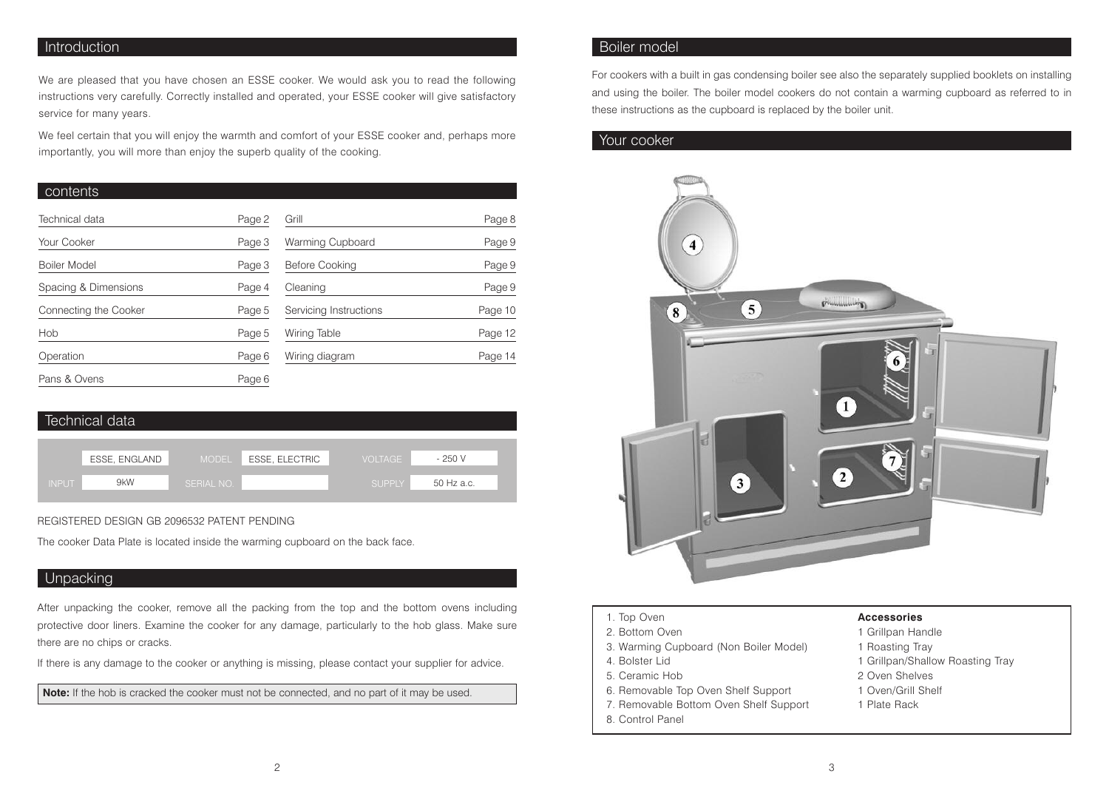# **Introduction**

We are pleased that you have chosen an ESSE cooker. We would ask you to read the following instructions very carefully. Correctly installed and operated, your ESSE cooker will give satisfactory service for many years.

We feel certain that you will enjoy the warmth and comfort of your ESSE cooker and, perhaps more importantly, you will more than enjoy the superb quality of the cooking.

#### contents

| Technical data        | Page 2 | Grill                  |         |
|-----------------------|--------|------------------------|---------|
|                       |        |                        | Page 8  |
| Your Cooker           | Page 3 | Warming Cupboard       | Page 9  |
| Boiler Model          | Page 3 | Before Cooking         | Page 9  |
| Spacing & Dimensions  | Page 4 | Cleaning               | Page 9  |
| Connecting the Cooker | Page 5 | Servicing Instructions | Page 10 |
| Hob                   | Page 5 | Wiring Table           | Page 12 |
| Operation             | Page 6 | Wiring diagram         | Page 14 |
| Pans & Ovens          | Page 6 |                        |         |

# Technical data

|              | ESSE, ENGLAND | MODEL .    | ESSE, ELECTRIC | <b>VOLTAGE</b> | $-250V$    |
|--------------|---------------|------------|----------------|----------------|------------|
|              |               |            |                |                |            |
| <b>INPUT</b> | 9kW           | SERIAL NO. |                | <b>SUPPLY</b>  | 50 Hz a.c. |
|              |               |            |                |                |            |

#### REGISTERED DESIGN GB 2096532 PATENT PENDING

The cooker Data Plate is located inside the warming cupboard on the back face.

# **Unpacking**

After unpacking the cooker, remove all the packing from the top and the bottom ovens including protective door liners. Examine the cooker for any damage, particularly to the hob glass. Make sure there are no chips or cracks.

If there is any damage to the cooker or anything is missing, please contact your supplier for advice.

**Note:** If the hob is cracked the cooker must not be connected, and no part of it may be used.

# Boiler model

For cookers with a built in gas condensing boiler see also the separately supplied booklets on installing and using the boiler. The boiler model cookers do not contain a warming cupboard as referred to in these instructions as the cupboard is replaced by the boiler unit.

# Your cooker



- 1. Top Oven
- 2. Bottom Oven
- 3. Warming Cupboard (Non Boiler Model)
- 4. Bolster Lid
- 5. Ceramic Hob
- 6. Removable Top Oven Shelf Support
- 7. Removable Bottom Oven Shelf Support
- 8. Control Panel

# **Accessories**

- 1 Grillpan Handle
- 1 Roasting Tray
- 1 Grillpan/Shallow Roasting Tray
- 2 Oven Shelves
- 1 Oven/Grill Shelf
- 1 Plate Rack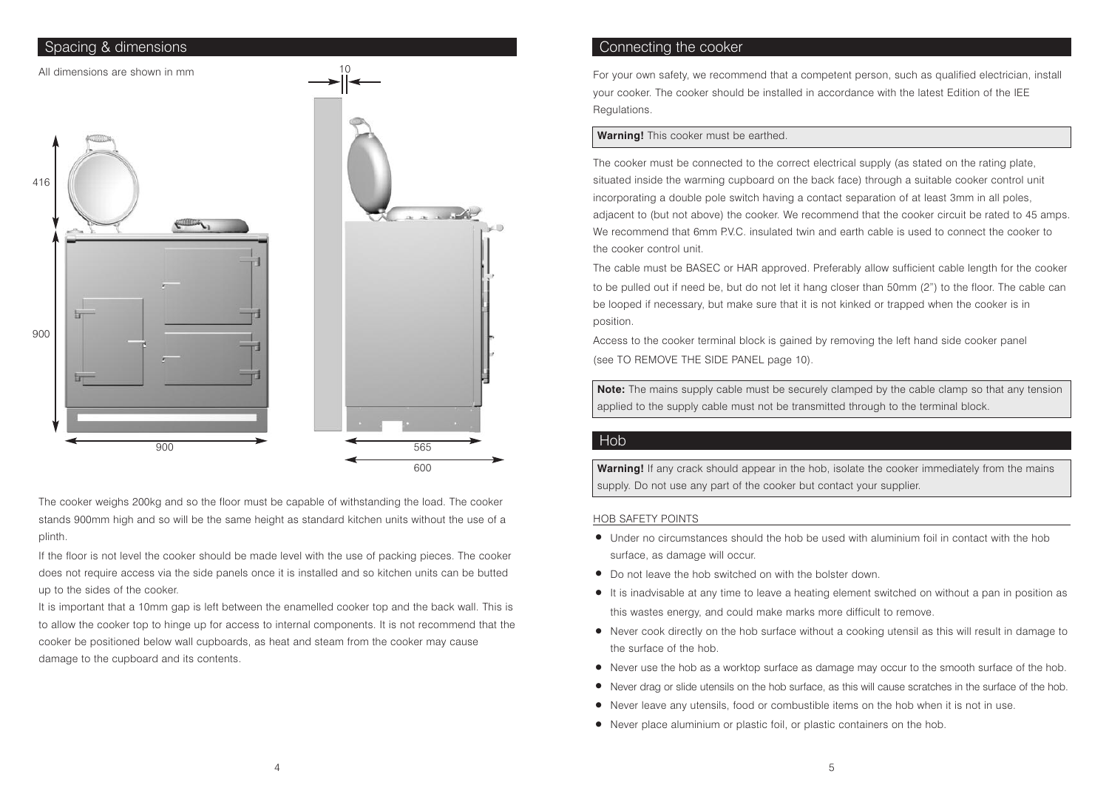

The cooker weighs 200kg and so the floor must be capable of withstanding the load. The cooker stands 900mm high and so will be the same height as standard kitchen units without the use of a plinth.

If the floor is not level the cooker should be made level with the use of packing pieces. The cooker does not require access via the side panels once it is installed and so kitchen units can be butted up to the sides of the cooker.

It is important that a 10mm gap is left between the enamelled cooker top and the back wall. This is to allow the cooker top to hinge up for access to internal components. It is not recommend that the cooker be positioned below wall cupboards, as heat and steam from the cooker may cause damage to the cupboard and its contents.

### Spacing & dimensions Connecting the cooker

For your own safety, we recommend that a competent person, such as qualified electrician, install your cooker. The cooker should be installed in accordance with the latest Edition of the IEE Regulations.

#### **Warning!** This cooker must be earthed.

The cooker must be connected to the correct electrical supply (as stated on the rating plate, situated inside the warming cupboard on the back face) through a suitable cooker control unit incorporating a double pole switch having a contact separation of at least 3mm in all poles, adjacent to (but not above) the cooker. We recommend that the cooker circuit be rated to 45 amps. We recommend that 6mm P.V.C. insulated twin and earth cable is used to connect the cooker to the cooker control unit.

The cable must be BASEC or HAR approved. Preferably allow sufficient cable length for the cooker to be pulled out if need be, but do not let it hang closer than 50mm (2") to the floor. The cable can be looped if necessary, but make sure that it is not kinked or trapped when the cooker is in position.

Access to the cooker terminal block is gained by removing the left hand side cooker panel (see TO REMOVE THE SIDE PANEL page 10).

**Note:** The mains supply cable must be securely clamped by the cable clamp so that any tension applied to the supply cable must not be transmitted through to the terminal block.

#### Hob

**Warning!** If any crack should appear in the hob, isolate the cooker immediately from the mains supply. Do not use any part of the cooker but contact your supplier.

#### HOB SAFETY POINTS

- Under no circumstances should the hob be used with aluminium foil in contact with the hob surface, as damage will occur.
- Do not leave the hob switched on with the bolster down.
- It is inadvisable at any time to leave <sup>a</sup> heating element switched on without <sup>a</sup> pan in position as this wastes energy, and could make marks more difficult to remove.
- Never cook directly on the hob surface without <sup>a</sup> cooking utensil as this will result in damage to the surface of the hob.
- Never use the hob as <sup>a</sup> worktop surface as damage may occur to the smooth surface of the hob.
- Never drag or slide utensils on the hob surface, as this will cause scratches in the surface of the hob.
- Never leave any utensils, food or combustible items on the hob when it is not in use.
- Never place aluminium or plastic foil, or plastic containers on the hob.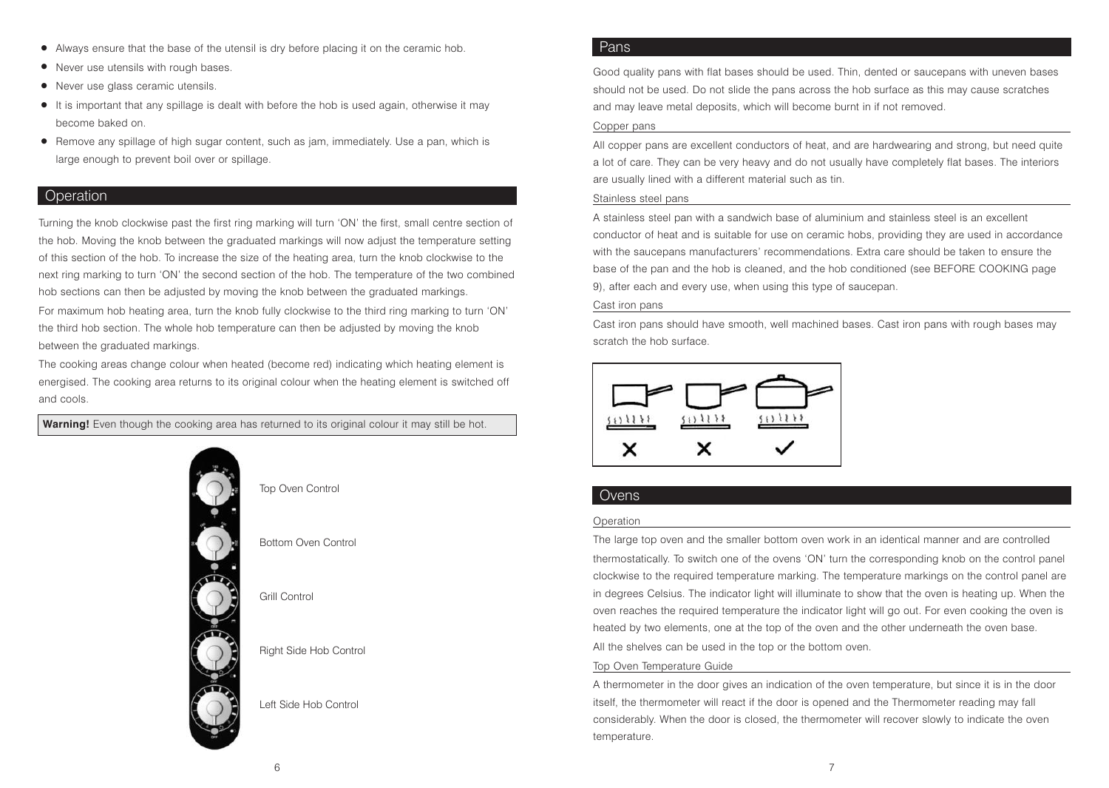- Always ensure that the base of the utensil is dry before placing it on the ceramic hob.
- Never use utensils with rough bases.
- Never use glass ceramic utensils.
- It is important that any spillage is dealt with before the hob is used again, otherwise it may become baked on.
- Remove any spillage of high sugar content, such as jam, immediately. Use <sup>a</sup> pan, which is large enough to prevent boil over or spillage.

# **Operation**

Turning the knob clockwise past the first ring marking will turn 'ON' the first, small centre section of the hob. Moving the knob between the graduated markings will now adjust the temperature setting of this section of the hob. To increase the size of the heating area, turn the knob clockwise to the next ring marking to turn 'ON' the second section of the hob. The temperature of the two combined hob sections can then be adjusted by moving the knob between the graduated markings.

For maximum hob heating area, turn the knob fully clockwise to the third ring marking to turn 'ON' the third hob section. The whole hob temperature can then be adjusted by moving the knob between the graduated markings.

The cooking areas change colour when heated (become red) indicating which heating element is energised. The cooking area returns to its original colour when the heating element is switched off and cools.

Warning! Even though the cooking area has returned to its original colour it may still be hot.



| rotamoa to ito onginar ooroan it may o |  |
|----------------------------------------|--|
|                                        |  |
| Top Oven Control                       |  |
| Bottom Oven Control                    |  |
| Grill Control                          |  |
| Right Side Hob Control                 |  |
| Left Side Hob Control                  |  |

### Pans

Good quality pans with flat bases should be used. Thin, dented or saucepans with uneven bases should not be used. Do not slide the pans across the hob surface as this may cause scratches and may leave metal deposits, which will become burnt in if not removed.

#### Copper pans

All copper pans are excellent conductors of heat, and are hardwearing and strong, but need quite a lot of care. They can be very heavy and do not usually have completely flat bases. The interiors are usually lined with a different material such as tin.

#### Stainless steel pans

A stainless steel pan with a sandwich base of aluminium and stainless steel is an excellent conductor of heat and is suitable for use on ceramic hobs, providing they are used in accordance with the saucepans manufacturers' recommendations. Extra care should be taken to ensure the base of the pan and the hob is cleaned, and the hob conditioned (see BEFORE COOKING page 9), after each and every use, when using this type of saucepan.

#### Cast iron pans

Cast iron pans should have smooth, well machined bases. Cast iron pans with rough bases may scratch the hob surface.



# Ovens

#### Operation

The large top oven and the smaller bottom oven work in an identical manner and are controlled thermostatically. To switch one of the ovens 'ON' turn the corresponding knob on the control panel clockwise to the required temperature marking. The temperature markings on the control panel are in degrees Celsius. The indicator light will illuminate to show that the oven is heating up. When the oven reaches the required temperature the indicator light will go out. For even cooking the oven is heated by two elements, one at the top of the oven and the other underneath the oven base. All the shelves can be used in the top or the bottom oven.

#### Top Oven Temperature Guide

A thermometer in the door gives an indication of the oven temperature, but since it is in the door itself, the thermometer will react if the door is opened and the Thermometer reading may fall considerably. When the door is closed, the thermometer will recover slowly to indicate the oven temperature.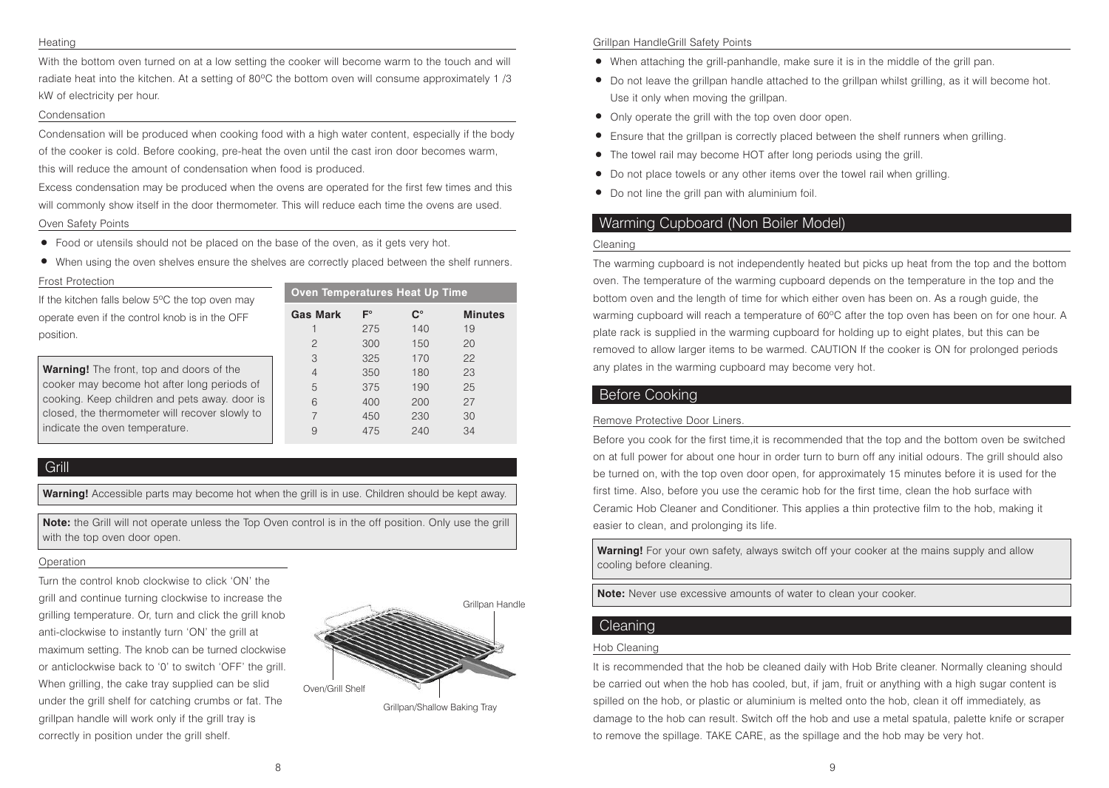#### **Heating**

With the bottom oven turned on at a low setting the cooker will become warm to the touch and will radiate heat into the kitchen. At a setting of 80ºC the bottom oven will consume approximately 1 /3 kW of electricity per hour.

#### Condensation

Condensation will be produced when cooking food with a high water content, especially if the body of the cooker is cold. Before cooking, pre-heat the oven until the cast iron door becomes warm, this will reduce the amount of condensation when food is produced.

Excess condensation may be produced when the ovens are operated for the first few times and this will commonly show itself in the door thermometer. This will reduce each time the ovens are used.

#### Oven Safety Points

• Food or utensils should not be placed on the base of the oven, as it gets very hot.

• When using the oven shelves ensure the shelves are correctly placed between the shelf runners.

#### Frost Protection

| If the kitchen falls below $5^{\circ}$ C the top oven may | oven r        |
|-----------------------------------------------------------|---------------|
| operate even if the control knob is in the OFF            | <b>Gas Ma</b> |
| position.                                                 |               |
|                                                           |               |
|                                                           | 3             |
| <b>Warning!</b> The front, top and doors of the           |               |

| f the kitchen falls below 5°C the top oven may                                                                                                                                                                                      | Oven Temperatures Heat Up Time     |                                        |                                        |                                  |
|-------------------------------------------------------------------------------------------------------------------------------------------------------------------------------------------------------------------------------------|------------------------------------|----------------------------------------|----------------------------------------|----------------------------------|
| operate even if the control knob is in the OFF<br>position.                                                                                                                                                                         | <b>Gas Mark</b><br>2               | $F^{\circ}$<br>275<br>300              | $\mathbf{C}^{\circ}$<br>140<br>150     | <b>Minutes</b><br>19<br>20       |
| <b>Warning!</b> The front, top and doors of the<br>cooker may become hot after long periods of<br>cooking. Keep children and pets away. door is<br>closed, the thermometer will recover slowly to<br>indicate the oven temperature. | 3<br>$\overline{4}$<br>5<br>6<br>9 | 325<br>350<br>375<br>400<br>450<br>475 | 170<br>180<br>190<br>200<br>230<br>240 | 22<br>23<br>25<br>27<br>30<br>34 |

# Grill

**Warning!** Accessible parts may become hot when the grill is in use. Children should be kept away.

**Note:** the Grill will not operate unless the Top Oven control is in the off position. Only use the grill with the top oven door open.

#### **Operation**

Turn the control knob clockwise to click 'ON' the grill and continue turning clockwise to increase the grilling temperature. Or, turn and click the grill knob anti-clockwise to instantly turn 'ON' the grill at maximum setting. The knob can be turned clockwise or anticlockwise back to '0' to switch 'OFF' the grill. When grilling, the cake tray supplied can be slid under the grill shelf for catching crumbs or fat. The grillpan handle will work only if the grill tray is correctly in position under the grill shelf.



#### Grillpan HandleGrill Safety Points

- When attaching the grill-panhandle, make sure it is in the middle of the grill pan.
- Do not leave the grillpan handle attached to the grillpan whilst grilling, as it will become hot. Use it only when moving the grillpan.
- Only operate the grill with the top oven door open.
- Ensure that the grillpan is correctly placed between the shelf runners when grilling.
- The towel rail may become HOT after long periods using the grill.
- Do not place towels or any other items over the towel rail when grilling.
- Do not line the grill pan with aluminium foil.

# Warming Cupboard (Non Boiler Model)

#### Cleaning

The warming cupboard is not independently heated but picks up heat from the top and the bottom oven. The temperature of the warming cupboard depends on the temperature in the top and the bottom oven and the length of time for which either oven has been on. As a rough guide, the warming cupboard will reach a temperature of 60ºC after the top oven has been on for one hour. A plate rack is supplied in the warming cupboard for holding up to eight plates, but this can be removed to allow larger items to be warmed. CAUTION If the cooker is ON for prolonged periods any plates in the warming cupboard may become very hot.

# Before Cooking

#### Remove Protective Door Liners.

Before you cook for the first time,it is recommended that the top and the bottom oven be switched on at full power for about one hour in order turn to burn off any initial odours. The grill should also be turned on, with the top oven door open, for approximately 15 minutes before it is used for the first time. Also, before you use the ceramic hob for the first time, clean the hob surface with Ceramic Hob Cleaner and Conditioner. This applies a thin protective film to the hob, making it easier to clean, and prolonging its life.

**Warning!** For your own safety, always switch off your cooker at the mains supply and allow cooling before cleaning.

**Note:** Never use excessive amounts of water to clean your cooker.

#### **Cleaning**

#### Hob Cleaning

It is recommended that the hob be cleaned daily with Hob Brite cleaner. Normally cleaning should be carried out when the hob has cooled, but, if jam, fruit or anything with a high sugar content is spilled on the hob, or plastic or aluminium is melted onto the hob, clean it off immediately, as damage to the hob can result. Switch off the hob and use a metal spatula, palette knife or scraper to remove the spillage. TAKE CARE, as the spillage and the hob may be very hot.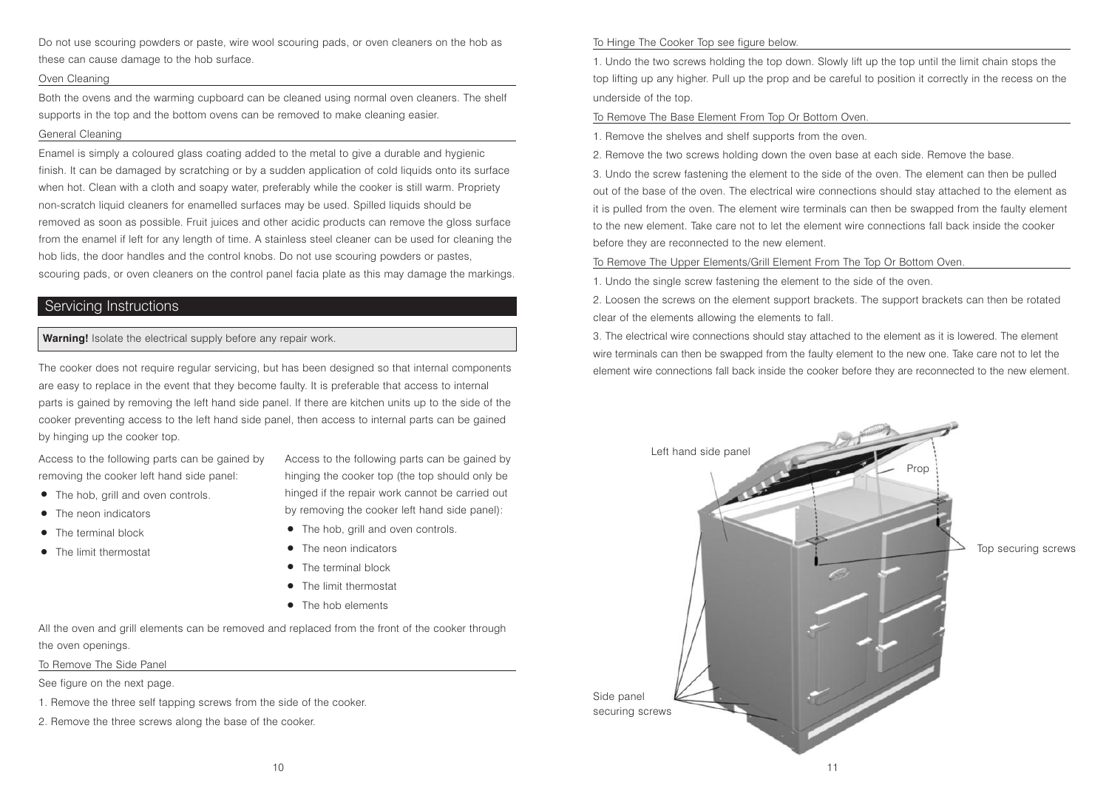Do not use scouring powders or paste, wire wool scouring pads, or oven cleaners on the hob as these can cause damage to the hob surface.

#### Oven Cleaning

Both the ovens and the warming cupboard can be cleaned using normal oven cleaners. The shelf supports in the top and the bottom ovens can be removed to make cleaning easier. General Cleaning

Enamel is simply a coloured glass coating added to the metal to give a durable and hygienic finish. It can be damaged by scratching or by a sudden application of cold liquids onto its surface when hot. Clean with a cloth and soapy water, preferably while the cooker is still warm. Propriety non-scratch liquid cleaners for enamelled surfaces may be used. Spilled liquids should be removed as soon as possible. Fruit juices and other acidic products can remove the gloss surface from the enamel if left for any length of time. A stainless steel cleaner can be used for cleaning the hob lids, the door handles and the control knobs. Do not use scouring powders or pastes, scouring pads, or oven cleaners on the control panel facia plate as this may damage the markings.

# Servicing Instructions

#### **Warning!** Isolate the electrical supply before any repair work.

The cooker does not require regular servicing, but has been designed so that internal components are easy to replace in the event that they become faulty. It is preferable that access to internal parts is gained by removing the left hand side panel. If there are kitchen units up to the side of the cooker preventing access to the left hand side panel, then access to internal parts can be gained by hinging up the cooker top.

Access to the following parts can be gained by removing the cooker left hand side panel:

- The hob, grill and oven controls.
- The neon indicators
- The terminal block
- The limit thermostat

Access to the following parts can be gained by hinging the cooker top (the top should only be hinged if the repair work cannot be carried out by removing the cooker left hand side panel):

- The hob, grill and oven controls.
- The neon indicators
- The terminal block
- **•** The limit thermostat
- The hob elements

All the oven and grill elements can be removed and replaced from the front of the cooker through the oven openings.

To Remove The Side Panel

See figure on the next page.

- 1. Remove the three self tapping screws from the side of the cooker.
- 2. Remove the three screws along the base of the cooker.

#### To Hinge The Cooker Top see figure below.

1. Undo the two screws holding the top down. Slowly lift up the top until the limit chain stops the top lifting up any higher. Pull up the prop and be careful to position it correctly in the recess on the underside of the top.

#### To Remove The Base Element From Top Or Bottom Oven.

1. Remove the shelves and shelf supports from the oven.

2. Remove the two screws holding down the oven base at each side. Remove the base.

3. Undo the screw fastening the element to the side of the oven. The element can then be pulled out of the base of the oven. The electrical wire connections should stay attached to the element as it is pulled from the oven. The element wire terminals can then be swapped from the faulty element to the new element. Take care not to let the element wire connections fall back inside the cooker before they are reconnected to the new element.

To Remove The Upper Elements/Grill Element From The Top Or Bottom Oven.

1. Undo the single screw fastening the element to the side of the oven.

2. Loosen the screws on the element support brackets. The support brackets can then be rotated clear of the elements allowing the elements to fall.

3. The electrical wire connections should stay attached to the element as it is lowered. The element wire terminals can then be swapped from the faulty element to the new one. Take care not to let the element wire connections fall back inside the cooker before they are reconnected to the new element.

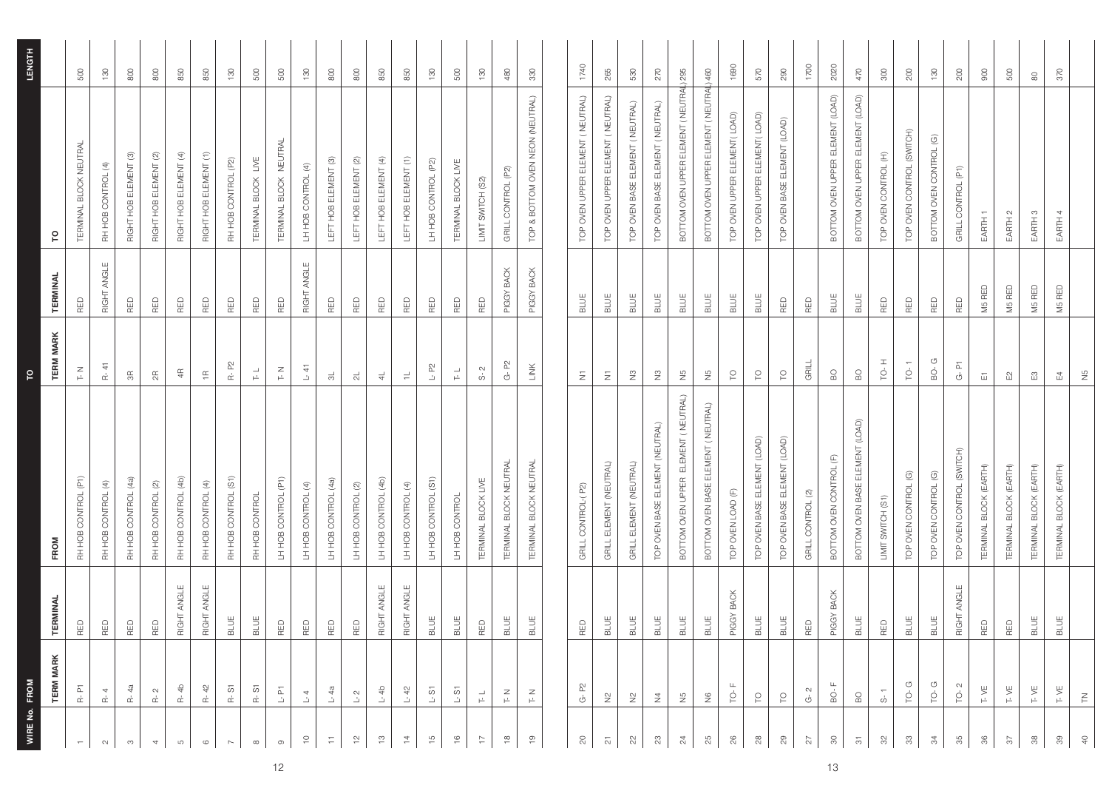|                          | <b>TERM MARK</b>                                                                                                     | <b>TERMINAL</b> | FROM                                | <b>TERM MARK</b>                             | <b>TERMINAL</b> | ဥ                                       |                |
|--------------------------|----------------------------------------------------------------------------------------------------------------------|-----------------|-------------------------------------|----------------------------------------------|-----------------|-----------------------------------------|----------------|
|                          | $R - PT$                                                                                                             | RED             | RH HOB CONTROL (P1)                 | $\underset{\vdash}{\simeq}$                  | RED             | TERMINAL BLOCK NEUTRAL                  | 500            |
| $\sim$                   | $R - 4$                                                                                                              | RED             | RH HOB CONTROL (4)                  | $R - 41$                                     | RIGHT ANGLE     | RH HOB CONTROL (4)                      | 130            |
| $\infty$                 | $R - 4a$                                                                                                             | RED             | RH HOB CONTROL (4a)                 | $\frac{\alpha}{\beta}$                       | RED             | RIGHT HOB ELEMENT (3)                   | $800\,$        |
| $\overline{\phantom{a}}$ | $R - 2$                                                                                                              | RED             | RH HOB CONTROL (2)                  | $\frac{\pi}{2}$                              | RED             | RIGHT HOB ELEMENT (2)                   | $800\,$        |
| $\mathbb G$              | ਵਿ<br>$\stackrel{\iota}{\simeq}$                                                                                     | RIGHT ANGLE     | RH HOB CONTROL (4b)                 | Æ                                            | <b>RED</b>      | RIGHT HOB ELEMENT (4)                   | 850            |
| $\circ$                  | R-42                                                                                                                 | RIGHT ANGLE     | RH HOB CONTROL (4)                  | $\overleftarrow{\Xi}$                        | RED             | RIGHT HOB ELEMENT (1)                   | 850            |
| $\sim$                   | $R - S1$                                                                                                             | <b>BLUE</b>     | RH HOB CONTROL (S1)                 | $R - P2$                                     | RED             | RH HOB CONTROL (P2)                     | 130            |
| $\infty$                 | $R - S1$                                                                                                             | <b>BLUE</b>     | RH HOB CONTROL                      | $\overset{\rightharpoonup}{\vdash}$          | RED             | TERMINAL BLOCK LIVE                     | 500            |
| $\circ$                  | 집<br>$\mathbf{\Delta}$                                                                                               | RED             | LH HOB CONTROL (P1)                 | $\stackrel{\textstyle{Z}}{\textstyle\vdash}$ | RED             | TERMINAL BLOCK NEUTRAL                  | 500            |
| $\approx$                | $\overline{\mathcal{A}}$<br>山                                                                                        | RED             | LH HOB CONTROL (4)                  | $\vdash$ 41                                  | RIGHT ANGLE     | LH HOB CONTROL (4)                      | 130            |
| $\overline{=}$           | $-4a$                                                                                                                | RED             | LH HOB CONTROL (4a)                 | $\frac{1}{\infty}$                           | RED             | LEFT HOB ELEMENT (3)                    | 800            |
| $\tilde{c}$              | $\overline{\phantom{0}}$ $\overline{\phantom{0}}$                                                                    | RED             | LH HOB CONTROL (2)                  | $\frac{1}{\sqrt{2}}$                         | RED             | LEFT HOB ELEMENT (2)                    | $800\,$        |
| $\frac{1}{2}$            | $-4b$                                                                                                                | RIGHT ANGLE     | LH HOB CONTROL (4b)                 | $\frac{1}{4}$                                | RED             | LEFT HOB ELEMENT (4)                    | 850            |
| $\overline{z}$           | $-42$<br>凸                                                                                                           | RIGHT ANGLE     | LH HOB CONTROL (4)                  | $\rightleftharpoons$                         | RED             | LEFT HOB ELEMENT (1)                    | 850            |
| $\frac{10}{2}$           | $-51$                                                                                                                | BLUE            | LH HOB CONTROL (S1)                 | $L - P2$                                     | RED             | LH HOB CONTROL (P2)                     | 130            |
| $\frac{6}{1}$            | 5<br>$\mathbf{\underline{\mathit{u}}}$                                                                               | <b>BLUE</b>     | LH HOB CONTROL                      | $\overset{\text{d}}{\text{F}}$               | RED             | TERMINAL BLOCK LIVE                     | 500            |
| $\overline{-}$           | 급                                                                                                                    | RED             | TERMINAL BLOCK LIVE                 | $S - 2$                                      | RED             | LIMIT SWITCH (S2)                       | 130            |
| $\frac{\infty}{\infty}$  | $\mathsf{z}$<br>广                                                                                                    | BLUE            | TERMINAL BLOCK NEUTRAL              | $G - P2$                                     | PIGGY BACK      | GRILL CONTROL (P2)                      | 480            |
| $\frac{5}{2}$            | $\mathbb Z$<br>$\mathrel{\mapsto}$                                                                                   | <b>BLUE</b>     | TERMINAL BLOCK NEUTRAL              | LINK                                         | PIGGY BACK      | TOP & BOTTOM OVEN NEON (NEUTRAL)        | 330            |
|                          |                                                                                                                      |                 |                                     |                                              |                 |                                         |                |
| $\approx$                | 8<br>Ġ                                                                                                               | RED             | GRILL CONTROL-(P2)                  | Ξ                                            | BLUE            | TOP OVEN UPPER ELEMENT (NEUTRAL)        | 1740           |
| $\overline{\sim}$        | ž                                                                                                                    | BLUE            | GRILL ELEMENT (NEUTRAL)             | Ξ                                            | BLUE            | TOP OVEN UPPER ELEMENT (NEUTRAL)        | 265            |
| ଧି                       | 울                                                                                                                    | BLUE            | GRILL ELEMENT (NEUTRAL)             | z                                            | <b>BLUE</b>     | TOP OVEN BASE ELEMENT (NEUTRAL)         | 530            |
| ಔ                        | $\frac{1}{2}$                                                                                                        | <b>BLUE</b>     | TOP OVEN BASE ELEMENT (NEUTRAL)     | $\tilde{z}$                                  | BLUE            | TOP OVEN BASE ELEMENT (NEUTRAL)         | 270            |
| $\frac{1}{2}$            | $\frac{5}{5}$                                                                                                        | <b>BLUE</b>     | BOTTOM OVEN UPPER ELEMENT (NEUTRAL) | $\frac{5}{2}$                                | <b>BLUE</b>     | BOTTOM OVEN UPPER ELEMENT (NEUTRAL) 295 |                |
| 85                       | $rac{6}{5}$                                                                                                          | BLUE            | BOTTOM OVEN BASE ELEMENT (NEUTRAL)  | $\frac{5}{5}$                                | <b>BLUE</b>     | BOTTOM OVEN UPPER ELEMENT (NEUTRAL) 460 |                |
| $\frac{8}{2}$            | ģ                                                                                                                    | PIGGY BACK      | TOP OVEN LOAD (F)                   | $\overline{\mathcal{C}}$                     | BLUE            | TOP OVEN UPPER ELEMENT(LOAD)            | 1690           |
| $\approx$                | $\epsilon$                                                                                                           | BLUE            | TOP OVEN BASE ELEMENT (LOAD)        | $\overline{\mathcal{C}}$                     | BLUE            | TOP OVEN UPPER ELEMENT(LOAD)            | 570            |
| ஜ                        | $\varrho$                                                                                                            | BLUE            | TOP OVEN BASE ELEMENT (LOAD)        | $\mathop{P}\limits_{\small{-}}$              | RED             | TOP OVEN BASE ELEMENT (LOAD)            | 290            |
| 27                       | $\sim$<br>Ġ                                                                                                          | RED             | GRILL CONTROL (2)                   | GRILL                                        | RED             |                                         | 1700           |
| 8                        | $\mathop{\odot}\limits^{\mathop{\raisebox{1.5pt}{\scriptsize c}}\limits^{\mathop{\raisebox{1.5pt}{\scriptsize c}}}}$ | PIGGY BACK      | BOTTOM OVEN CONTROL (F)             | $_{\rm B}$                                   | <b>BLUE</b>     | BOTTOM OVEN UPPER ELEMENT (LOAD)        | 2020           |
| $\overline{\mathcal{C}}$ | $_{\odot}$                                                                                                           | <b>BLUE</b>     | BOTTOM OVEN BASE ELEMENT (LOAD)     | $_{\rm B}$                                   | <b>BLUE</b>     | BOTTOM OVEN UPPER ELEMENT (LOAD)        | 470            |
| 32                       | ဟံ                                                                                                                   | RED             | LIMIT SWITCH (S1)                   | $\overline{10}$ -H                           | RED             | TOP OVEN CONTROL (H)                    | $300\,$        |
| ೫                        | G<br>$\dot{\mathbf{p}}$                                                                                              | <b>BLUE</b>     | TOP OVEN CONTROL (G)                | $TQ-1$                                       | RED             | TOP OVEN CONTROL (SWITCH)               | 200            |
| 34                       | ģ                                                                                                                    | <b>BLUE</b>     | TOP OVEN CONTROL (G)                | G<br>BO-                                     | RED             | BOTTOM OVEN CONTROL (G)                 | $\frac{8}{1}$  |
| ಹ                        | ģ                                                                                                                    | RIGHT ANGLE     | TOP OVEN CONTROL (SWITCH)           | $G - P$                                      | RED             | GRILL CONTROL (P1)                      | 200            |
| 86                       | T-VE                                                                                                                 | RED             | TERMINAL BLOCK (EARTH)              | $\overleftarrow{\mathbf{u}}$                 | M5 RED          | EARTH 1                                 | 900            |
| 75                       | T VE                                                                                                                 | RED             | TERMINAL BLOCK (EARTH)              | $\mathbb{E}^{\mathbb{S}}$                    | M5 RED          | EARTH 2                                 | 500            |
| 88                       | T-VE                                                                                                                 | <b>BLUE</b>     | TERMINAL BLOCK (EARTH)              | $\mathbb{E}^3$                               | M5 RED          | EARTH 3                                 | $\rm ^{\circ}$ |
| $\frac{30}{20}$          | T VE                                                                                                                 | <b>BLUE</b>     | TERMINAL BLOCK (EARTH)              | $E_4$                                        | M5 RED          | EARTH 4                                 | 370            |
| $\theta$                 | $\overline{\in}$                                                                                                     |                 |                                     | $\frac{5}{2}$                                |                 |                                         |                |